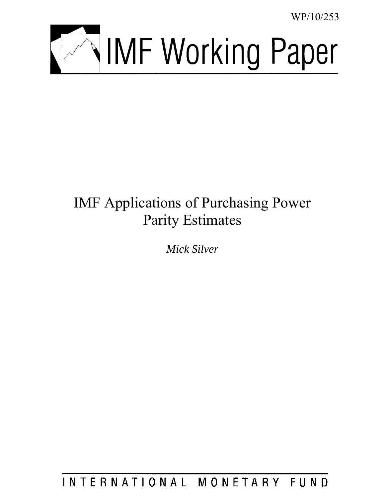WP/10/253



# IMF Applications of Purchasing Power Parity Estimates

*Mick Silver*

INTERNATIONAL MONETARY FUND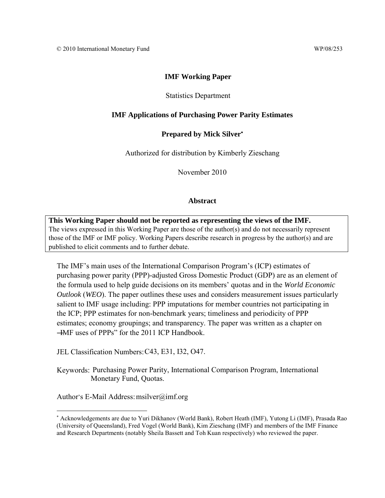## **IMF Working Paper**

#### Statistics Department

#### **IMF Applications of Purchasing Power Parity Estimates**

#### **Prepared by Mick Silver**

Authorized for distribution by Kimberly Zieschang

November 2010

#### **Abstract**

**This Working Paper should not be reported as representing the views of the IMF.** The views expressed in this Working Paper are those of the author(s) and do not necessarily represent those of the IMF or IMF policy. Working Papers describe research in progress by the author(s) and are published to elicit comments and to further debate.

The IMF's main uses of the International Comparison Program's (ICP) estimates of purchasing power parity (PPP)-adjusted Gross Domestic Product (GDP) are as an element of the formula used to help guide decisions on its members' quotas and in the *World Economic Outlook* (*WEO*). The paper outlines these uses and considers measurement issues particularly salient to IMF usage including: PPP imputations for member countries not participating in the ICP; PPP estimates for non-benchmark years; timeliness and periodicity of PPP estimates; economy groupings; and transparency. The paper was written as a chapter on -IMF uses of PPPs" for the 2011 ICP Handbook.

JEL Classification Numbers:C43, E31, I32, O47.

Keywords: Purchasing Power Parity, International Comparison Program, International Monetary Fund, Quotas.

Author's E-Mail Address: msilver@imf.org

 $\overline{a}$ 

 Acknowledgements are due to Yuri Dikhanov (World Bank), Robert Heath (IMF), Yutong Li (IMF), Prasada Rao (University of Queensland), Fred Vogel (World Bank), Kim Zieschang (IMF) and members of the IMF Finance and Research Departments (notably Sheila Bassett and Toh Kuan respectively) who reviewed the paper.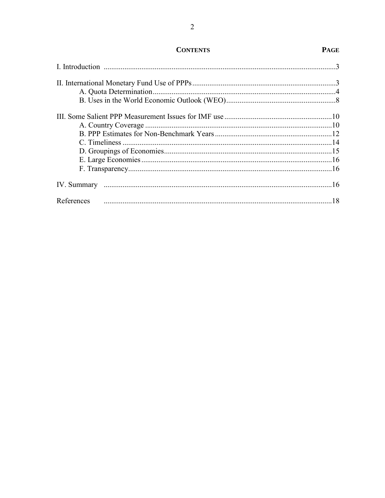# **CONTENTS**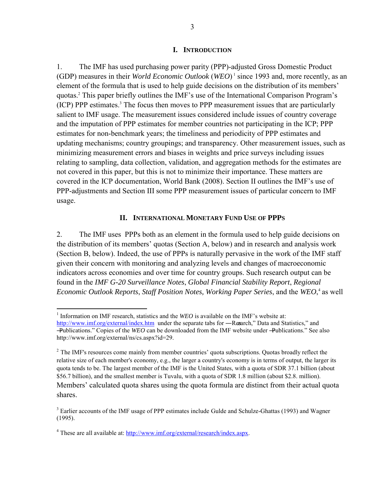#### **I. INTRODUCTION**

1. The IMF has used purchasing power parity (PPP)-adjusted Gross Domestic Product (GDP) measures in their *World Economic Outlook* (*WEO*) 1 since 1993 and, more recently, as an element of the formula that is used to help guide decisions on the distribution of its members' quotas.<sup>2</sup> This paper briefly outlines the IMF's use of the International Comparison Program's (ICP) PPP estimates.<sup>3</sup> The focus then moves to PPP measurement issues that are particularly salient to IMF usage. The measurement issues considered include issues of country coverage and the imputation of PPP estimates for member countries not participating in the ICP; PPP estimates for non-benchmark years; the timeliness and periodicity of PPP estimates and updating mechanisms; country groupings; and transparency. Other measurement issues, such as minimizing measurement errors and biases in weights and price surveys including issues relating to sampling, data collection, validation, and aggregation methods for the estimates are not covered in this paper, but this is not to minimize their importance. These matters are covered in the ICP documentation, World Bank (2008). Section II outlines the IMF's use of PPP-adjustments and Section III some PPP measurement issues of particular concern to IMF usage.

#### **II. INTERNATIONAL MONETARY FUND USE OF PPPS**

2. The IMF uses PPPs both as an element in the formula used to help guide decisions on the distribution of its members' quotas (Section A, below) and in research and analysis work (Section B, below). Indeed, the use of PPPs is naturally pervasive in the work of the IMF staff given their concern with monitoring and analyzing levels and changes of macroeconomic indicators across economies and over time for country groups. Such research output can be found in the *IMF G-20 Surveillance Notes*, *Global Financial Stability Report*, *Regional Economic Outlook Reports*, *Staff Position Notes, Working Paper Series*, and the *WEO*, 4 as well

<sup>&</sup>lt;sup>1</sup> Information on IMF research, statistics and the *WEO* is available on the IMF's website at: <http://www.imf.org/external/index.htm>under the separate tabs for —Resarch," Data and Statistics," and ―Publications.‖ Copies of the *WEO* can be downloaded from the IMF website under ―Publications.‖ See also http://www.imf.org/external/ns/cs.aspx?id=29.

 $2$  The IMF's resources come mainly from member countries' quota subscriptions. Quotas broadly reflect the relative size of each member's economy, e.g., the larger a country's economy is in terms of output, the larger its quota tends to be. The largest member of the IMF is the United States, with a quota of SDR 37.1 billion (about \$56.7 billion), and the smallest member is Tuvalu, with a quota of SDR 1.8 million (about \$2.8. million). Members' calculated quota shares using the quota formula are distinct from their actual quota shares.

<sup>&</sup>lt;sup>3</sup> Earlier accounts of the IMF usage of PPP estimates include Gulde and Schulze-Ghattas (1993) and Wagner (1995).

<sup>&</sup>lt;sup>4</sup> These are all available at: [http://www.imf.org/external/research/index.aspx.](http://www.imf.org/external/research/index.aspx)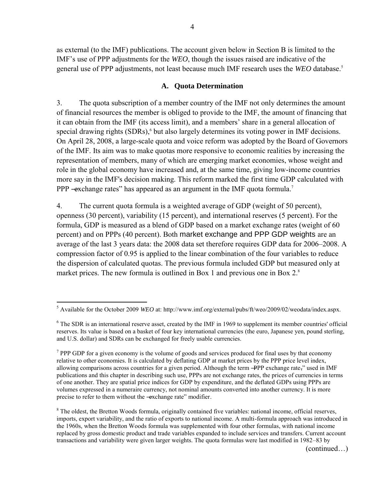as external (to the IMF) publications. The account given below in Section B is limited to the IMF's use of PPP adjustments for the *WEO*, though the issues raised are indicative of the general use of PPP adjustments, not least because much IMF research uses the *WEO* database.<sup>5</sup>

#### **A. Quota Determination**

3. The quota subscription of a member country of the IMF not only determines the amount of financial resources the member is obliged to provide to the IMF, the amount of financing that it can obtain from the IMF (its access limit), and a members' share in a general allocation of special drawing rights (SDRs),<sup>6</sup> but also largely determines its voting power in IMF decisions. On April 28, 2008, a large-scale quota and voice reform was adopted by the Board of Governors of the IMF. Its aim was to make quotas more responsive to economic realities by increasing the representation of members, many of which are emerging market economies, whose weight and role in the global economy have increased and, at the same time, giving low-income countries more say in the IMF's decision making. This reform marked the first time GDP calculated with PPP -exchange rates" has appeared as an argument in the IMF quota formula.<sup>7</sup>

4. The current quota formula is a weighted average of GDP (weight of 50 percent), openness (30 percent), variability (15 percent), and international reserves (5 percent). For the formula, GDP is measured as a blend of GDP based on a market exchange rates (weight of 60 percent) and on PPPs (40 percent). Both market exchange and PPP GDP weights are an average of the last 3 years data: the 2008 data set therefore requires GDP data for 2006–2008. A compression factor of 0.95 is applied to the linear combination of the four variables to reduce the dispersion of calculated quotas. The previous formula included GDP but measured only at market prices. The new formula is outlined in Box 1 and previous one in Box 2.<sup>8</sup>

(continued…)

 5 Available for the October 2009 *WEO* at: http://www.imf.org/external/pubs/ft/weo/2009/02/weodata/index.aspx.

 $6$  The SDR is an international reserve asset, created by the IMF in 1969 to supplement its member countries' official reserves. Its value is based on a basket of four key international currencies (the euro, Japanese yen, pound sterling, and U.S. dollar) and SDRs can be exchanged for freely usable currencies.

 $7$  PPP GDP for a given economy is the volume of goods and services produced for final uses by that economy relative to other economies. It is calculated by deflating GDP at market prices by the PPP price level index, allowing comparisons across countries for a given period. Although the term —PPP exchange rate," used in IMF publications and this chapter in describing such use, PPPs are not exchange rates, the prices of currencies in terms of one another. They are spatial price indices for GDP by expenditure, and the deflated GDPs using PPPs are volumes expressed in a numeraire currency, not nominal amounts converted into another currency. It is more precise to refer to them without the —exchange rate" modifier.

<sup>&</sup>lt;sup>8</sup> The oldest, the Bretton Woods formula, originally contained five variables: national income, official reserves, imports, export variability, and the ratio of exports to national income. A multi-formula approach was introduced in the 1960s, when the Bretton Woods formula was supplemented with four other formulas, with national income replaced by gross domestic product and trade variables expanded to include services and transfers. Current account transactions and variability were given larger weights. The quota formulas were last modified in 1982–83 by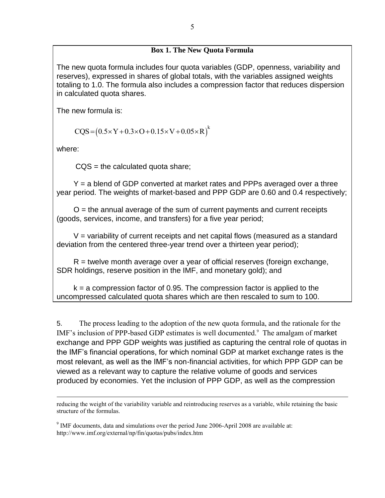## **Box 1. The New Quota Formula**

The new quota formula includes four quota variables (GDP, openness, variability and reserves), expressed in shares of global totals, with the variables assigned weights totaling to 1.0. The formula also includes a compression factor that reduces dispersion in calculated quota shares.

The new formula is:

$$
CQS = (0.5 \times Y + 0.3 \times O + 0.15 \times V + 0.05 \times R)^{k}
$$

where:

 $\overline{a}$ 

 $CQS =$  the calculated quota share;

 Y = a blend of GDP converted at market rates and PPPs averaged over a three year period. The weights of market-based and PPP GDP are 0.60 and 0.4 respectively;

 $O =$  the annual average of the sum of current payments and current receipts (goods, services, income, and transfers) for a five year period;

 $V =$  variability of current receipts and net capital flows (measured as a standard deviation from the centered three-year trend over a thirteen year period);

 $R$  = twelve month average over a year of official reserves (foreign exchange, SDR holdings, reserve position in the IMF, and monetary gold); and

 $k = a$  compression factor of 0.95. The compression factor is applied to the uncompressed calculated quota shares which are then rescaled to sum to 100.

5. The process leading to the adoption of the new quota formula, and the rationale for the IMF's inclusion of PPP-based GDP estimates is well documented.<sup>9</sup> The amalgam of market exchange and PPP GDP weights was justified as capturing the central role of quotas in the IMF's financial operations, for which nominal GDP at market exchange rates is the most relevant, as well as the IMF's non-financial activities, for which PPP GDP can be viewed as a relevant way to capture the relative volume of goods and services produced by economies. Yet the inclusion of PPP GDP, as well as the compression

reducing the weight of the variability variable and reintroducing reserves as a variable, while retaining the basic structure of the formulas.

 $9$  IMF documents, data and simulations over the period June 2006-April 2008 are available at: http://www.imf.org/external/np/fin/quotas/pubs/index.htm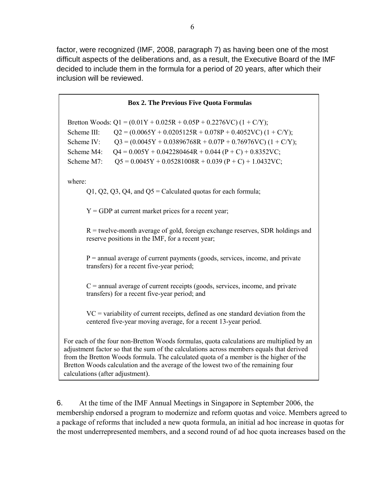factor, were recognized (IMF, 2008, paragraph 7) as having been one of the most difficult aspects of the deliberations and, as a result, the Executive Board of the IMF decided to include them in the formula for a period of 20 years, after which their inclusion will be reviewed.

| <b>Box 2. The Previous Five Quota Formulas</b>                                                                                                                                                                                                                                                                                                                                                         |  |  |  |  |
|--------------------------------------------------------------------------------------------------------------------------------------------------------------------------------------------------------------------------------------------------------------------------------------------------------------------------------------------------------------------------------------------------------|--|--|--|--|
| Bretton Woods: $Q1 = (0.01Y + 0.025R + 0.05P + 0.2276VC) (1 + C/Y);$<br>Scheme III:<br>$Q2 = (0.0065Y + 0.0205125R + 0.078P + 0.4052VC) (1 + C/Y);$<br>$Q3 = (0.0045Y + 0.03896768R + 0.07P + 0.76976VC) (1 + C/Y);$<br>Scheme IV:<br>$Q4 = 0.005Y + 0.042280464R + 0.044 (P + C) + 0.8352VC;$<br>Scheme M4:<br>$Q5 = 0.0045Y + 0.05281008R + 0.039 (P + C) + 1.0432VC;$<br>Scheme M7:                 |  |  |  |  |
| where:<br>$Q1, Q2, Q3, Q4,$ and $Q5$ = Calculated quotas for each formula;                                                                                                                                                                                                                                                                                                                             |  |  |  |  |
| $Y = GDP$ at current market prices for a recent year;                                                                                                                                                                                                                                                                                                                                                  |  |  |  |  |
| $R$ = twelve-month average of gold, foreign exchange reserves, SDR holdings and<br>reserve positions in the IMF, for a recent year;                                                                                                                                                                                                                                                                    |  |  |  |  |
| $P =$ annual average of current payments (goods, services, income, and private<br>transfers) for a recent five-year period;                                                                                                                                                                                                                                                                            |  |  |  |  |
| $C =$ annual average of current receipts (goods, services, income, and private<br>transfers) for a recent five-year period; and                                                                                                                                                                                                                                                                        |  |  |  |  |
| $VC$ = variability of current receipts, defined as one standard deviation from the<br>centered five-year moving average, for a recent 13-year period.                                                                                                                                                                                                                                                  |  |  |  |  |
| For each of the four non-Bretton Woods formulas, quota calculations are multiplied by an<br>adjustment factor so that the sum of the calculations across members equals that derived<br>from the Bretton Woods formula. The calculated quota of a member is the higher of the<br>Bretton Woods calculation and the average of the lowest two of the remaining four<br>calculations (after adjustment). |  |  |  |  |

6. At the time of the IMF Annual Meetings in Singapore in September 2006, the membership endorsed a program to modernize and reform quotas and voice. Members agreed to a package of reforms that included a new quota formula, an initial ad hoc increase in quotas for the most underrepresented members, and a second round of ad hoc quota increases based on the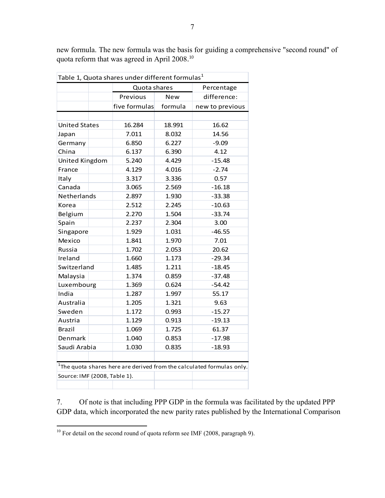| Table 1, Quota shares under different formulas $^1$                      |               |            |                 |  |
|--------------------------------------------------------------------------|---------------|------------|-----------------|--|
|                                                                          | Quota shares  |            | Percentage      |  |
|                                                                          | Previous      | <b>New</b> | difference:     |  |
|                                                                          | five formulas | formula    | new to previous |  |
|                                                                          |               |            |                 |  |
| <b>United States</b>                                                     | 16.284        | 18.991     | 16.62           |  |
| Japan                                                                    | 7.011         | 8.032      | 14.56           |  |
| Germany                                                                  | 6.850         | 6.227      | $-9.09$         |  |
| China                                                                    | 6.137         | 6.390      | 4.12            |  |
| United Kingdom                                                           | 5.240         | 4.429      | $-15.48$        |  |
| France                                                                   | 4.129         | 4.016      | $-2.74$         |  |
| Italy                                                                    | 3.317         | 3.336      | 0.57            |  |
| Canada                                                                   | 3.065         | 2.569      | $-16.18$        |  |
| Netherlands                                                              | 2.897         | 1.930      | $-33.38$        |  |
| Korea                                                                    | 2.512         | 2.245      | $-10.63$        |  |
| Belgium                                                                  | 2.270         | 1.504      | $-33.74$        |  |
| Spain                                                                    | 2.237         | 2.304      | 3.00            |  |
| Singapore                                                                | 1.929         | 1.031      | $-46.55$        |  |
| Mexico                                                                   | 1.841         | 1.970      | 7.01            |  |
| Russia                                                                   | 1.702         | 2.053      | 20.62           |  |
| Ireland                                                                  | 1.660         | 1.173      | $-29.34$        |  |
| Switzerland                                                              | 1.485         | 1.211      | $-18.45$        |  |
| Malaysia                                                                 | 1.374         | 0.859      | $-37.48$        |  |
| Luxembourg                                                               | 1.369         | 0.624      | $-54.42$        |  |
| India                                                                    | 1.287         | 1.997      | 55.17           |  |
| Australia                                                                | 1.205         | 1.321      | 9.63            |  |
| Sweden                                                                   | 1.172         | 0.993      | $-15.27$        |  |
| Austria                                                                  | 1.129         | 0.913      | $-19.13$        |  |
| <b>Brazil</b>                                                            | 1.069         | 1.725      | 61.37           |  |
| Denmark                                                                  | 1.040         | 0.853      | $-17.98$        |  |
| Saudi Arabia                                                             | 1.030         | 0.835      | $-18.93$        |  |
|                                                                          |               |            |                 |  |
| $1$ The quota shares here are derived from the calculated formulas only. |               |            |                 |  |
| Source: IMF (2008, Table 1).                                             |               |            |                 |  |
|                                                                          |               |            |                 |  |

new formula. The new formula was the basis for guiding a comprehensive "second round" of quota reform that was agreed in April 2008. 10

7. Of note is that including PPP GDP in the formula was facilitated by the updated PPP GDP data, which incorporated the new parity rates published by the International Comparison

 $\overline{a}$  $10$  For detail on the second round of quota reform see IMF (2008, paragraph 9).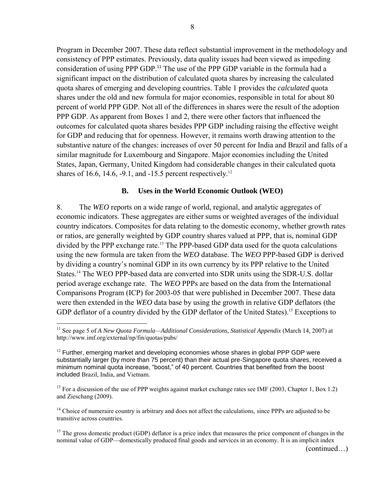Program in December 2007. These data reflect substantial improvement in the methodology and consistency of PPP estimates. Previously, data quality issues had been viewed as impeding consideration of using PPP GDP.<sup>11</sup> The use of the PPP GDP variable in the formula had a significant impact on the distribution of calculated quota shares by increasing the calculated quota shares of emerging and developing countries. Table 1 provides the *calculated* quota shares under the old and new formula for major economies, responsible in total for about 80 percent of world PPP GDP. Not all of the differences in shares were the result of the adoption PPP GDP. As apparent from Boxes 1 and 2, there were other factors that influenced the outcomes for calculated quota shares besides PPP GDP including raising the effective weight for GDP and reducing that for openness. However, it remains worth drawing attention to the substantive nature of the changes: increases of over 50 percent for India and Brazil and falls of a similar magnitude for Luxembourg and Singapore. Major economies including the United States, Japan, Germany, United Kingdom had considerable changes in their calculated quota shares of 16.6, 14.6,  $-9.1$ , and  $-15.5$  percent respectively.<sup>12</sup>

#### **B. Uses in the World Economic Outlook (WEO)**

8. The *WEO* reports on a wide range of world, regional, and analytic aggregates of economic indicators. These aggregates are either sums or weighted averages of the individual country indicators. Composites for data relating to the domestic economy, whether growth rates or ratios, are generally weighted by GDP country shares valued at PPP, that is, nominal GDP divided by the PPP exchange rate.<sup>13</sup> The PPP-based GDP data used for the quota calculations using the new formula are taken from the *WEO* database. The *WEO* PPP-based GDP is derived by dividing a country's nominal GDP in its own currency by its PPP relative to the United States.<sup>14</sup> The WEO PPP-based data are converted into SDR units using the SDR-U.S. dollar period average exchange rate. The *WEO* PPPs are based on the data from the International Comparisons Program (ICP) for 2003-05 that were published in December 2007. These data were then extended in the *WEO* data base by using the growth in relative GDP deflators (the GDP deflator of a country divided by the GDP deflator of the United States).<sup>15</sup> Exceptions to

 $\overline{a}$ 

<sup>&</sup>lt;sup>11</sup> See page 5 of *A New Quota Formula—Additional Considerations, Statistical Appendix* (March 14, 2007) at http://www.imf.org/external/np/fin/quotas/pubs/

 $12$  Further, emerging market and developing economies whose shares in global PPP GDP were substantially larger (by more than 75 percent) than their actual pre-Singapore quota shares, received a minimum nominal quota increase, "boost," of 40 percent. Countries that benefited from the boost included Brazil, India, and Vietnam.

<sup>&</sup>lt;sup>13</sup> For a discussion of the use of PPP weights against market exchange rates see IMF (2003, Chapter 1, Box 1.2) and Zieschang (2009).

<sup>&</sup>lt;sup>14</sup> Choice of numeraire country is arbitrary and does not affect the calculations, since PPPs are adjusted to be transitive across countries.

<sup>&</sup>lt;sup>15</sup> The gross domestic product (GDP) deflator is a price index that measures the price component of changes in the nominal value of GDP—domestically produced final goods and services in an economy. It is an implicit index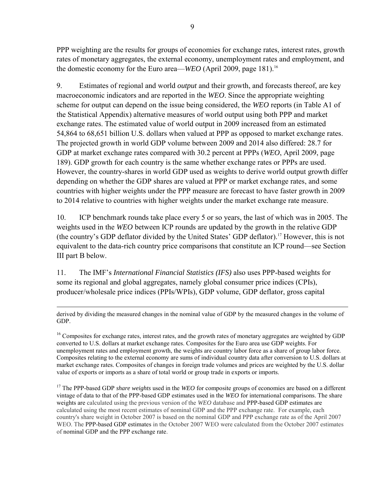PPP weighting are the results for groups of economies for exchange rates, interest rates, growth rates of monetary aggregates, the external economy, unemployment rates and employment, and the domestic economy for the Euro area—*WEO* (April 2009, page 181).<sup>16</sup>

9. Estimates of regional and world *output* and their growth, and forecasts thereof, are key macroeconomic indicators and are reported in the *WEO*. Since the appropriate weighting scheme for output can depend on the issue being considered, the *WEO* reports (in Table A1 of the Statistical Appendix) alternative measures of world output using both PPP and market exchange rates. The estimated value of world output in 2009 increased from an estimated 54,864 to 68,651 billion U.S. dollars when valued at PPP as opposed to market exchange rates. The projected growth in world GDP volume between 2009 and 2014 also differed: 28.7 for GDP at market exchange rates compared with 30.2 percent at PPPs (*WEO*, April 2009, page 189). GDP growth for each country is the same whether exchange rates or PPPs are used. However, the country-shares in world GDP used as weights to derive world output growth differ depending on whether the GDP shares are valued at PPP or market exchange rates, and some countries with higher weights under the PPP measure are forecast to have faster growth in 2009 to 2014 relative to countries with higher weights under the market exchange rate measure.

10. ICP benchmark rounds take place every 5 or so years, the last of which was in 2005. The weights used in the *WEO* between ICP rounds are updated by the growth in the relative GDP (the country's GDP deflator divided by the United States' GDP deflator).<sup>17</sup> However, this is not equivalent to the data-rich country price comparisons that constitute an ICP round—see Section III part B below.

11. The IMF's *International Financial Statistics (IFS)* also uses PPP-based weights for some its regional and global aggregates, namely global consumer price indices (CPIs), producer/wholesale price indices (PPIs/WPIs), GDP volume, GDP deflator, gross capital

<sup>17</sup> The PPP-based GDP *share weights* used in the *WEO* for composite groups of economies are based on a different vintage of data to that of the PPP-based GDP estimates used in the *WEO* for international comparisons. The share weights are calculated using the previous version of the *WEO* database and PPP-based GDP estimates are calculated using the most recent estimates of nominal GDP and the PPP exchange rate. For example, each country's share weight in October 2007 is based on the nominal GDP and PPP exchange rate as of the April 2007 WEO. The PPP-based GDP estimates in the October 2007 WEO were calculated from the October 2007 estimates of nominal GDP and the PPP exchange rate.

 $\overline{a}$ derived by dividing the measured changes in the nominal value of GDP by the measured changes in the volume of GDP.

 $16$  Composites for exchange rates, interest rates, and the growth rates of monetary aggregates are weighted by GDP converted to U.S. dollars at market exchange rates. Composites for the Euro area use GDP weights. For unemployment rates and employment growth, the weights are country labor force as a share of group labor force. Composites relating to the external economy are sums of individual country data after conversion to U.S. dollars at market exchange rates. Composites of changes in foreign trade volumes and prices are weighted by the U.S. dollar value of exports or imports as a share of total world or group trade in exports or imports.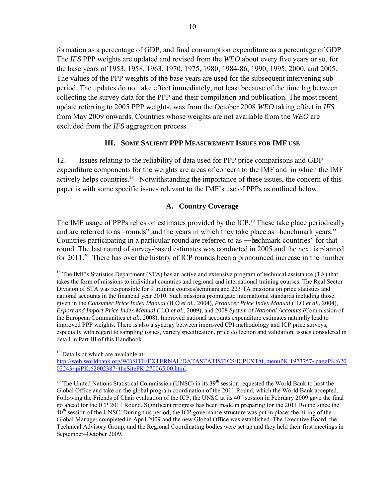formation as a percentage of GDP, and final consumption expenditure as a percentage of GDP. The *IFS* PPP weights are updated and revised from the *WEO* about every five years or so, for the base years of 1953, 1958, 1963, 1970, 1975, 1980, 1984-86, 1990, 1995, 2000, and 2005. The values of the PPP weights of the base years are used for the subsequent intervening subperiod. The updates do not take effect immediately, not least because of the time lag between collecting the survey data for the PPP and their compilation and publication. The most recent update referring to 2005 PPP weights, was from the October 2008 *WEO* taking effect in *IFS* from May 2009 onwards. Countries whose weights are not available from the *WEO* are excluded from the *IFS* aggregation process.

## **III. SOME SALIENT PPP MEASUREMENT ISSUES FOR IMF USE**

12. Issues relating to the reliability of data used for PPP price comparisons and GDP expenditure components for the weights are areas of concern to the IMF and in which the IMF actively helps countries.<sup>18</sup> Notwithstanding the importance of these issues, the concern of this paper is with some specific issues relevant to the IMF's use of PPPs as outlined below.

## **A. Country Coverage**

The IMF usage of PPPs relies on estimates provided by the ICP.<sup>19</sup> These take place periodically and are referred to as -rounds" and the years in which they take place as -benchmark years." Countries participating in a particular round are referred to as —be charak countries" for that round. The last round of survey-based estimates was conducted in 2005 and the next is planned for 2011.<sup>20</sup> There has over the history of ICP rounds been a pronounced increase in the number

<sup>19</sup> Details of which are available at:

 $\overline{a}$ 

[http://web.worldbank.org/WBSITE/EXTERNAL/DATASTATISTICS/ICPEXT/0,,menuPK:1973757~pagePK:620](http://web.worldbank.org/WBSITE/EXTERNAL/DATASTATISTICS/ICPEXT/0,,menuPK:1973757~pagePK:62002243~piPK:62002387~theSitePK:270065,00.html) [02243~piPK:62002387~theSitePK:270065,00.html.](http://web.worldbank.org/WBSITE/EXTERNAL/DATASTATISTICS/ICPEXT/0,,menuPK:1973757~pagePK:62002243~piPK:62002387~theSitePK:270065,00.html)

<sup>20</sup> The United Nations Statistical Commission (UNSC) in its  $39<sup>th</sup>$  session requested the World Bank to host the Global Office and take on the global program coordination of the 2011 Round, which the World Bank accepted. Following the Friends of Chair evaluation of the ICP, the UNSC at its 40<sup>th</sup> session in February 2009 gave the final go ahead for the ICP 2011 Round. Significant progress has been made in preparing for the 2011 Round since the  $40<sup>th</sup>$  session of the UNSC. During this period, the ICP governance structure was put in place: the hiring of the Global Manager completed in April 2009 and the new Global Office was established. The Executive Board, the Technical Advisory Group, and the Regional Coordinating bodies were set up and they held their first meetings in September–October 2009.

 $18$  The IMF's Statistics Department (STA) has an active and extensive program of technical assistance (TA) that takes the form of missions to individual countries and regional and international training courses. The Real Sector Division of STA was responsible for 9 training courses/seminars and 223 TA missions on price statistics and national accounts in the financial year 2010. Such missions promulgate international standards including those given in the *Consumer Price Index Manual* (ILO *et al.*, 2004), *Producer Price Index Manual* (ILO *et al.*, 2004), *Export and Import Price Index Manual* (ILO *et al.*, 2009), and 2008 *System of National Accounts* (Commission of the European Communities *et al.*, 2008). Improved national accounts expenditure estimates naturally lead to improved PPP weights. There is also a synergy between improved CPI methodology and ICP price surveys, especially with regard to sampling issues, variety specification, price collection and validation, issues considered in detail in Part III of this Handbook.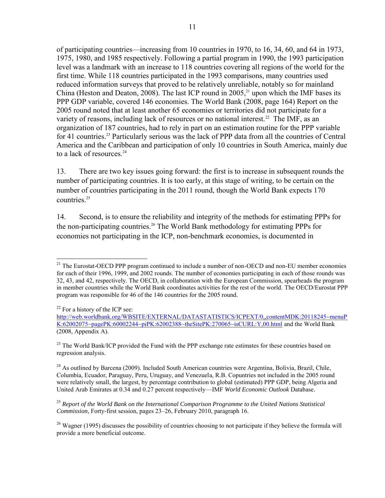of participating countries—increasing from 10 countries in 1970, to 16, 34, 60, and 64 in 1973, 1975, 1980, and 1985 respectively. Following a partial program in 1990, the 1993 participation level was a landmark with an increase to 118 countries covering all regions of the world for the first time. While 118 countries participated in the 1993 comparisons, many countries used reduced information surveys that proved to be relatively unreliable, notably so for mainland China (Heston and Deaton, 2008). The last ICP round in 2005,<sup>21</sup> upon which the IMF bases its PPP GDP variable, covered 146 economies. The World Bank (2008, page 164) Report on the 2005 round noted that at least another 65 economies or territories did not participate for a variety of reasons, including lack of resources or no national interest.<sup>22</sup> The IMF, as an organization of 187 countries, had to rely in part on an estimation routine for the PPP variable for 41 countries.<sup>23</sup> Particularly serious was the lack of PPP data from all the countries of Central America and the Caribbean and participation of only 10 countries in South America, mainly due to a lack of resources. $^{24}$ 

13. There are two key issues going forward: the first is to increase in subsequent rounds the number of participating countries. It is too early, at this stage of writing, to be certain on the number of countries participating in the 2011 round, though the World Bank expects 170 countries.<sup>25</sup>

14. Second, is to ensure the reliability and integrity of the methods for estimating PPPs for the non-participating countries.<sup>26</sup> The World Bank methodology for estimating PPPs for economies not participating in the ICP, non-benchmark economies, is documented in

 $\overline{a}$ <sup>21</sup> The Eurostat-OECD PPP program continued to include a number of non-OECD and non-EU member economies for each of their 1996, 1999, and 2002 rounds. The number of economies participating in each of those rounds was 32, 43, and 42, respectively. The OECD, in collaboration with the European Commission, spearheads the program in member countries while the World Bank coordinates activities for the rest of the world. The OECD/Eurostat PPP program was responsible for 46 of the 146 countries for the 2005 round.

 $22$  For a history of the ICP see:

[http://web.worldbank.org/WBSITE/EXTERNAL/DATASTATISTICS/ICPEXT/0,,contentMDK:20118245~menuP](http://web.worldbank.org/WBSITE/EXTERNAL/DATASTATISTICS/ICPEXT/0,,contentMDK:20118245~menuPK:62002075~pagePK:60002244~piPK:62002388~theSitePK:270065~isCURL:Y,00.html) [K:62002075~pagePK:60002244~piPK:62002388~theSitePK:270065~isCURL:Y,00.html a](http://web.worldbank.org/WBSITE/EXTERNAL/DATASTATISTICS/ICPEXT/0,,contentMDK:20118245~menuPK:62002075~pagePK:60002244~piPK:62002388~theSitePK:270065~isCURL:Y,00.html)nd the World Bank (2008, Appendix A).

<sup>&</sup>lt;sup>23</sup> The World Bank/ICP provided the Fund with the PPP exchange rate estimates for these countries based on regression analysis.

 $^{24}$  As outlined by Barcena (2009). Included South American countries were Argentina, Bolivia, Brazil, Chile, Columbia, Ecuador, Paraguay, Peru, Uruguay, and Venezuela, R.B. Copuntries not included in the 2005 round were relatively small, the largest, by percentage contribution to global (estimated) PPP GDP, being Algeria and United Arab Emirates at 0.34 and 0.27 percent respectively—IMF *World Economic Outlook* Database.

<sup>25</sup> *Report of the World Bank on the International Comparison Programme to the United Nations Statistical Commission*, Forty-first session, pages 23–26, February 2010, paragraph 16.

<sup>&</sup>lt;sup>26</sup> Wagner (1995) discusses the possibility of countries choosing to not participate if they believe the formula will provide a more beneficial outcome.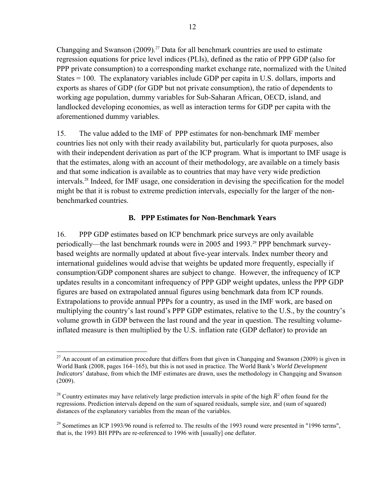Changqing and Swanson (2009).<sup>27</sup> Data for all benchmark countries are used to estimate regression equations for price level indices (PLIs), defined as the ratio of PPP GDP (also for PPP private consumption) to a corresponding market exchange rate, normalized with the United States = 100. The explanatory variables include GDP per capita in U.S. dollars, imports and exports as shares of GDP (for GDP but not private consumption), the ratio of dependents to working age population, dummy variables for Sub-Saharan African, OECD, island, and landlocked developing economies, as well as interaction terms for GDP per capita with the aforementioned dummy variables.

15. The value added to the IMF of PPP estimates for non-benchmark IMF member countries lies not only with their ready availability but, particularly for quota purposes, also with their independent derivation as part of the ICP program. What is important to IMF usage is that the estimates, along with an account of their methodology, are available on a timely basis and that some indication is available as to countries that may have very wide prediction intervals.<sup>28</sup> Indeed, for IMF usage, one consideration in devising the specification for the model might be that it is robust to extreme prediction intervals, especially for the larger of the nonbenchmarked countries.

## **B. PPP Estimates for Non-Benchmark Years**

16. PPP GDP estimates based on ICP benchmark price surveys are only available periodically—the last benchmark rounds were in 2005 and 1993.<sup>29</sup> PPP benchmark surveybased weights are normally updated at about five-year intervals. Index number theory and international guidelines would advise that weights be updated more frequently, especially if consumption/GDP component shares are subject to change. However, the infrequency of ICP updates results in a concomitant infrequency of PPP GDP weight updates, unless the PPP GDP figures are based on extrapolated annual figures using benchmark data from ICP rounds. Extrapolations to provide annual PPPs for a country, as used in the IMF work, are based on multiplying the country's last round's PPP GDP estimates, relative to the U.S., by the country's volume growth in GDP between the last round and the year in question. The resulting volumeinflated measure is then multiplied by the U.S. inflation rate (GDP deflator) to provide an

 $\overline{a}$  $^{27}$  An account of an estimation procedure that differs from that given in Changqing and Swanson (2009) is given in World Bank (2008, pages 164–165), but this is not used in practice. The World Bank's *World Development Indicators*' database, from which the IMF estimates are drawn, uses the methodology in Changqing and Swanson (2009).

<sup>&</sup>lt;sup>28</sup> Country estimates may have relatively large prediction intervals in spite of the high  $\bar{R}^2$  often found for the regressions. Prediction intervals depend on the sum of squared residuals, sample size, and (sum of squared) distances of the explanatory variables from the mean of the variables.

 $^{29}$  Sometimes an ICP 1993/96 round is referred to. The results of the 1993 round were presented in "1996 terms", that is, the 1993 BH PPPs are re-referenced to 1996 with [usually] one deflator.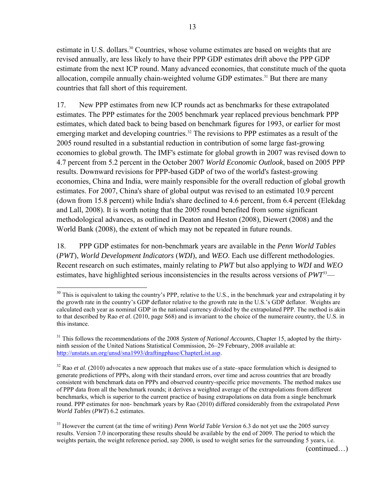estimate in U.S. dollars.<sup>30</sup> Countries, whose volume estimates are based on weights that are revised annually, are less likely to have their PPP GDP estimates drift above the PPP GDP estimate from the next ICP round. Many advanced economies, that constitute much of the quota allocation, compile annually chain-weighted volume GDP estimates.<sup>31</sup> But there are many countries that fall short of this requirement.

17. New PPP estimates from new ICP rounds act as benchmarks for these extrapolated estimates. The PPP estimates for the 2005 benchmark year replaced previous benchmark PPP estimates, which dated back to being based on benchmark figures for 1993, or earlier for most emerging market and developing countries.<sup>32</sup> The revisions to PPP estimates as a result of the 2005 round resulted in a substantial reduction in contribution of some large fast-growing economies to global growth. The IMF's estimate for global growth in 2007 was revised down to 4.7 percent from 5.2 percent in the October 2007 *World Economic Outlook*, based on 2005 PPP results. Downward revisions for PPP-based GDP of two of the world's fastest-growing economies, China and India, were mainly responsible for the overall reduction of global growth estimates. For 2007, China's share of global output was revised to an estimated 10.9 percent (down from 15.8 percent) while India's share declined to 4.6 percent, from 6.4 percent (Elekdag and Lall, 2008). It is worth noting that the 2005 round benefited from some significant methodological advances, as outlined in Deaton and Heston (2008), Diewert (2008) and the World Bank (2008), the extent of which may not be repeated in future rounds.

18. PPP GDP estimates for non-benchmark years are available in the *Penn World Tables* (*PWT*), *World Development Indicators* (*WDI*), and *WEO*. Each use different methodologies. Recent research on such estimates, mainly relating to *PWT* but also applying to *WDI* and *WEO*  estimates, have highlighted serious inconsistencies in the results across versions of *PWT*<sup>33</sup>—

 $\overline{a}$  $30$  This is equivalent to taking the country's PPP, relative to the U.S., in the benchmark year and extrapolating it by the growth rate in the country's GDP deflator relative to the growth rate in the U.S.'s GDP deflator. Weights are calculated each year as nominal GDP in the national currency divided by the extrapolated PPP. The method is akin to that described by Rao *et al*. (2010, page S68) and is invariant to the choice of the numeraire country, the U.S. in this instance.

<sup>&</sup>lt;sup>31</sup> This follows the recommendations of the 2008 System of National Accounts, Chapter 15, adopted by the thirtyninth session of the United Nations Statistical Commission, 26–29 February, 2008 available at: [http://unstats.un.org/unsd/sna1993/draftingphase/ChapterList.asp.](http://unstats.un.org/unsd/sna1993/draftingphase/ChapterList.asp)

<sup>&</sup>lt;sup>32</sup> Rao *et al.* (2010) advocates a new approach that makes use of a state–space formulation which is designed to generate predictions of PPPs, along with their standard errors, over time and across countries that are broadly consistent with benchmark data on PPPs and observed country-specific price movements. The method makes use of PPP data from all the benchmark rounds; it derives a weighted average of the extrapolations from different benchmarks, which is superior to the current practice of basing extrapolations on data from a single benchmark round. PPP estimates for non- benchmark years by Rao (2010) differed considerably from the extrapolated *Penn World Tables* (*PWT*) 6.2 estimates.

<sup>&</sup>lt;sup>33</sup> However the current (at the time of writing) *Penn World Table Version* 6.3 do not yet use the 2005 survey results. Version 7.0 incorporating these results should be available by the end of 2009. The period to which the weights pertain, the weight reference period, say 2000, is used to weight series for the surrounding 5 years, i.e.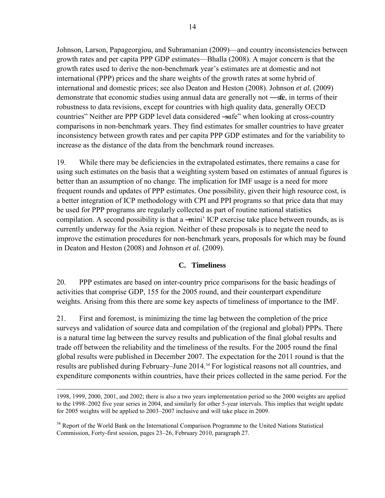Johnson, Larson, Papageorgiou, and Subramanian (2009)—and country inconsistencies between growth rates and per capita PPP GDP estimates—Bhalla (2008). A major concern is that the growth rates used to derive the non-benchmark year's estimates are at domestic and not international (PPP) prices and the share weights of the growth rates at some hybrid of international and domestic prices; see also Deaton and Heston (2008). Johnson *et al.* (2009) demonstrate that economic studies using annual data are generally not  $-\text{sfe}$ , in terms of their robustness to data revisions, except for countries with high quality data, generally OECD countries" Neither are PPP GDP level data considered —safe" when looking at cross-country comparisons in non-benchmark years. They find estimates for smaller countries to have greater inconsistency between growth rates and per capita PPP GDP estimates and for the variability to increase as the distance of the data from the benchmark round increases.

19. While there may be deficiencies in the extrapolated estimates, there remains a case for using such estimates on the basis that a weighting system based on estimates of annual figures is better than an assumption of no change. The implication for IMF usage is a need for more frequent rounds and updates of PPP estimates. One possibility, given their high resource cost, is a better integration of ICP methodology with CPI and PPI programs so that price data that may be used for PPP programs are regularly collected as part of routine national statistics compilation. A second possibility is that a —mini' ICP exercise take place between rounds, as is currently underway for the Asia region. Neither of these proposals is to negate the need to improve the estimation procedures for non-benchmark years, proposals for which may be found in Deaton and Heston (2008) and Johnson *et al.* (2009).

## **C. Timeliness**

20. PPP estimates are based on inter-country price comparisons for the basic headings of activities that comprise GDP, 155 for the 2005 round, and their counterpart expenditure weights. Arising from this there are some key aspects of timeliness of importance to the IMF.

21. First and foremost, is minimizing the time lag between the completion of the price surveys and validation of source data and compilation of the (regional and global) PPPs. There is a natural time lag between the survey results and publication of the final global results and trade off between the reliability and the timeliness of the results. For the 2005 round the final global results were published in December 2007. The expectation for the 2011 round is that the results are published during February–June 2014.<sup>34</sup> For logistical reasons not all countries, and expenditure components within countries, have their prices collected in the same period. For the

<sup>34</sup> Report of the World Bank on the International Comparison Programme to the United Nations Statistical Commission, Forty-first session, pages 23–26, February 2010, paragraph 27.

 $\overline{a}$ 1998, 1999, 2000, 2001, and 2002; there is also a two years implementation period so the 2000 weights are applied to the 1998–2002 five year series in 2004, and similarly for other 5-year intervals. This implies that weight update for 2005 weights will be applied to 2003–2007 inclusive and will take place in 2009.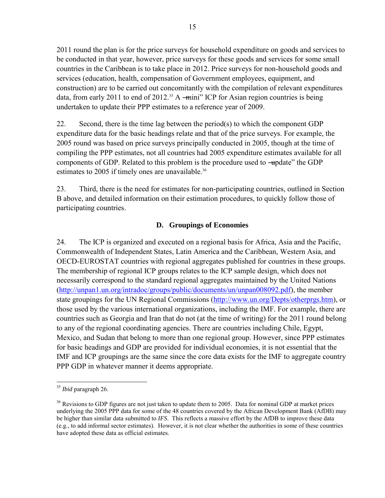2011 round the plan is for the price surveys for household expenditure on goods and services to be conducted in that year, however, price surveys for these goods and services for some small countries in the Caribbean is to take place in 2012. Price surveys for non-household goods and services (education, health, compensation of Government employees, equipment, and construction) are to be carried out concomitantly with the compilation of relevant expenditures data, from early 2011 to end of 2012.<sup>35</sup> A —mini" ICP for Asian region countries is being undertaken to update their PPP estimates to a reference year of 2009.

22. Second, there is the time lag between the period(s) to which the component GDP expenditure data for the basic headings relate and that of the price surveys. For example, the 2005 round was based on price surveys principally conducted in 2005, though at the time of compiling the PPP estimates, not all countries had 2005 expenditure estimates available for all components of GDP. Related to this problem is the procedure used to  $-\text{update}$  the GDP estimates to 2005 if timely ones are unavailable.<sup>36</sup>

23. Third, there is the need for estimates for non-participating countries, outlined in Section B above, and detailed information on their estimation procedures, to quickly follow those of participating countries.

## **D. Groupings of Economies**

24. The ICP is organized and executed on a regional basis for Africa, Asia and the Pacific, Commonwealth of Independent States, Latin America and the Caribbean, Western Asia, and OECD-EUROSTAT countries with regional aggregates published for countries in these groups. The membership of regional ICP groups relates to the ICP sample design, which does not necessarily correspond to the standard regional aggregates maintained by the United Nations [\(http://unpan1.un.org/intradoc/groups/public/documents/un/unpan008092.pdf\)](http://unpan1.un.org/intradoc/groups/public/documents/un/unpan008092.pdf), the member state groupings for the UN Regional Commissions [\(http://www.un.org/Depts/otherprgs.htm\)](http://www.un.org/Depts/otherprgs.htm), or those used by the various international organizations, including the IMF. For example, there are countries such as Georgia and Iran that do not (at the time of writing) for the 2011 round belong to any of the regional coordinating agencies. There are countries including Chile, Egypt, Mexico, and Sudan that belong to more than one regional group. However, since PPP estimates for basic headings and GDP are provided for individual economies, it is not essential that the IMF and ICP groupings are the same since the core data exists for the IMF to aggregate country PPP GDP in whatever manner it deems appropriate.

 $\overline{a}$ 

<sup>35</sup> *Ibid* paragraph 26.

<sup>&</sup>lt;sup>36</sup> Revisions to GDP figures are not just taken to update them to 2005. Data for nominal GDP at market prices underlying the 2005 PPP data for some of the 48 countries covered by the African Development Bank (AfDB) may be higher than similar data submitted to *IFS*. This reflects a massive effort by the AfDB to improve these data (e.g., to add informal sector estimates). However, it is not clear whether the authorities in some of these countries have adopted these data as official estimates.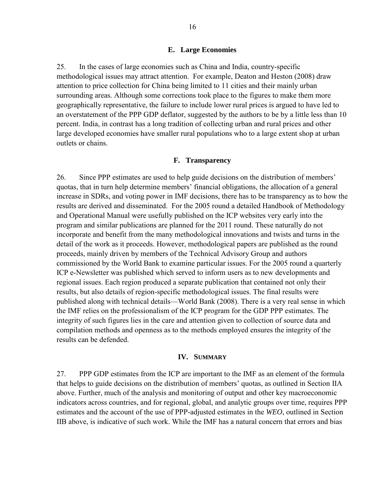#### **E. Large Economies**

25. In the cases of large economies such as China and India, country-specific methodological issues may attract attention. For example, Deaton and Heston (2008) draw attention to price collection for China being limited to 11 cities and their mainly urban surrounding areas. Although some corrections took place to the figures to make them more geographically representative, the failure to include lower rural prices is argued to have led to an overstatement of the PPP GDP deflator, suggested by the authors to be by a little less than 10 percent. India, in contrast has a long tradition of collecting urban and rural prices and other large developed economies have smaller rural populations who to a large extent shop at urban outlets or chains.

#### **F. Transparency**

26. Since PPP estimates are used to help guide decisions on the distribution of members' quotas, that in turn help determine members' financial obligations, the allocation of a general increase in SDRs, and voting power in IMF decisions, there has to be transparency as to how the results are derived and disseminated. For the 2005 round a detailed Handbook of Methodology and Operational Manual were usefully published on the ICP websites very early into the program and similar publications are planned for the 2011 round. These naturally do not incorporate and benefit from the many methodological innovations and twists and turns in the detail of the work as it proceeds. However, methodological papers are published as the round proceeds, mainly driven by members of the Technical Advisory Group and authors commissioned by the World Bank to examine particular issues. For the 2005 round a quarterly ICP e-Newsletter was published which served to inform users as to new developments and regional issues. Each region produced a separate publication that contained not only their results, but also details of region-specific methodological issues. The final results were published along with technical details—World Bank (2008). There is a very real sense in which the IMF relies on the professionalism of the ICP program for the GDP PPP estimates. The integrity of such figures lies in the care and attention given to collection of source data and compilation methods and openness as to the methods employed ensures the integrity of the results can be defended.

#### **IV. SUMMARY**

27. PPP GDP estimates from the ICP are important to the IMF as an element of the formula that helps to guide decisions on the distribution of members' quotas, as outlined in Section IIA above. Further, much of the analysis and monitoring of output and other key macroeconomic indicators across countries, and for regional, global, and analytic groups over time, requires PPP estimates and the account of the use of PPP-adjusted estimates in the *WEO*, outlined in Section IIB above, is indicative of such work. While the IMF has a natural concern that errors and bias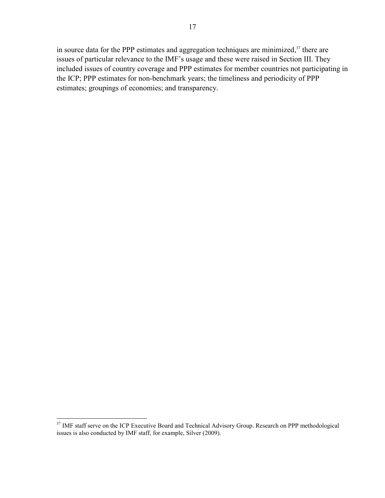in source data for the PPP estimates and aggregation techniques are minimized, $37$  there are issues of particular relevance to the IMF's usage and these were raised in Section III. They included issues of country coverage and PPP estimates for member countries not participating in the ICP; PPP estimates for non-benchmark years; the timeliness and periodicity of PPP estimates; groupings of economies; and transparency.

 $\overline{a}$ <sup>37</sup> IMF staff serve on the ICP Executive Board and Technical Advisory Group. Research on PPP methodological issues is also conducted by IMF staff, for example, Silver (2009).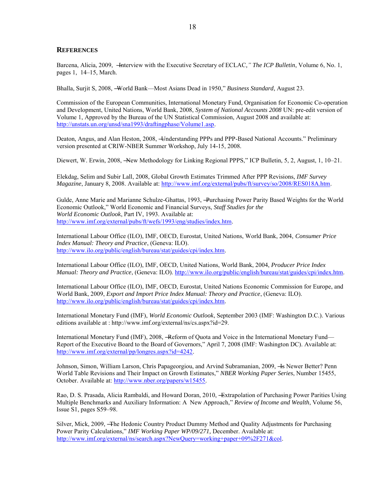#### **REFERENCES**

Barcena, Alicia, 2009, –**Interview with the Executive Secretary of ECLAC**," The ICP Bulletin, Volume 6, No. 1, pages 1, 14–15, March.

Bhalla, Surjit S, 2008, -World Bank—Most Asians Dead in 1950," *Business Standard*, August 23.

Commission of the European Communities, International Monetary Fund, Organisation for Economic Co-operation and Development, United Nations, World Bank, 2008, *System of National Accounts 2008* UN: pre-edit version of Volume 1, Approved by the Bureau of the UN Statistical Commission, August 2008 and available at: [http://unstats.un.org/unsd/sna1993/draftingphase/Volume1.asp.](http://unstats.un.org/unsd/sna1993/draftingphase/Volume1.asp)

Deaton, Angus, and Alan Heston, 2008, -Understanding PPPs and PPP-Based National Accounts." Preliminary version presented at CRIW-NBER Summer Workshop, July 14-15, 2008.

Diewert, W. Erwin, 2008, –New Methodology for Linking Regional PPPS," ICP Bulletin, 5, 2, August, 1, 10–21.

Elekdag, Selim and Subir Lall, 2008, Global Growth Estimates Trimmed After PPP Revisions, *IMF Survey Magazine*, January 8, 2008. Available at: [http://www.imf.org/external/pubs/ft/survey/so/2008/RES018A.htm.](http://www.imf.org/external/pubs/ft/survey/so/2008/RES018A.htm)

Gulde, Anne Marie and Marianne Schulze-Ghattas, 1993, ―Purchasing Power Parity Based Weights for the World Economic Outlook," World Economic and Financial Surveys, *Staff Studies for the World Economic Outlook*, Part IV, 1993. Available at: [http://www.imf.org/external/pubs/ft/wefs/1993/eng/studies/index.htm.](http://www.imf.org/external/pubs/ft/wefs/1993/eng/studies/index.htm)

International Labour Office (ILO), IMF, OECD, Eurostat, United Nations, World Bank, 2004, *Consumer Price Index Manual: Theory and Practice*, (Geneva: ILO). [http://www.ilo.org/public/english/bureau/stat/guides/cpi/index.htm.](http://www.ilo.org/public/english/bureau/stat/guides/cpi/index.htm)

International Labour Office (ILO), IMF, OECD, United Nations, World Bank, 2004, *Producer Price Index Manual: Theory and Practice*, (Geneva: ILO). [http://www.ilo.org/public/english/bureau/stat/guides/cpi/index.htm.](http://www.ilo.org/public/english/bureau/stat/guides/cpi/index.htm)

International Labour Office (ILO), IMF, OECD, Eurostat, United Nations Economic Commission for Europe, and World Bank, 2009, *Export and Import Price Index Manual: Theory and Practice*, (Geneva: ILO). [http://www.ilo.org/public/english/bureau/stat/guides/cpi/index.htm.](http://www.ilo.org/public/english/bureau/stat/guides/cpi/index.htm)

International Monetary Fund (IMF), *World Economic Outlook*, September 2003 (IMF: Washington D.C.). Various editions available at : http://www.imf.org/external/ns/cs.aspx?id=29.

International Monetary Fund (IMF), 2008, -Reform of Quota and Voice in the International Monetary Fund— Report of the Executive Board to the Board of Governors," April 7, 2008 (IMF: Washington DC). Available at: [http://www.imf.org/external/pp/longres.aspx?id=4242.](http://www.imf.org/external/pp/longres.aspx?id=4242)

Johnson, Simon, William Larson, Chris Papageorgiou, and Arvind Subramanian, 2009, - Is Newer Better? Penn World Table Revisions and Their Impact on Growth Estimates," *NBER Working Paper Series*, Number 15455, October. Available at: [http://www.nber.org/papers/w15455.](http://www.nber.org/papers/w15455)

Rao, D. S. Prasada, Alicia Rambaldi, and Howard Doran, 2010, ―Extrapolation of Purchasing Power Parities Using Multiple Benchmarks and Auxiliary Information: A New Approach," Review of Income and Wealth, Volume 56, Issue S1, pages S59–98.

Silver, Mick, 2009, ―The Hedonic Country Product Dummy Method and Quality Adjustments for Purchasing Power Parity Calculations," *IMF Working Paper WP/09/271*, December. Available at: [http://www.imf.org/external/ns/search.aspx?NewQuery=working+paper+09%2F271&col.](http://www.imf.org/external/ns/search.aspx?NewQuery=working+paper+09%2F271&col)